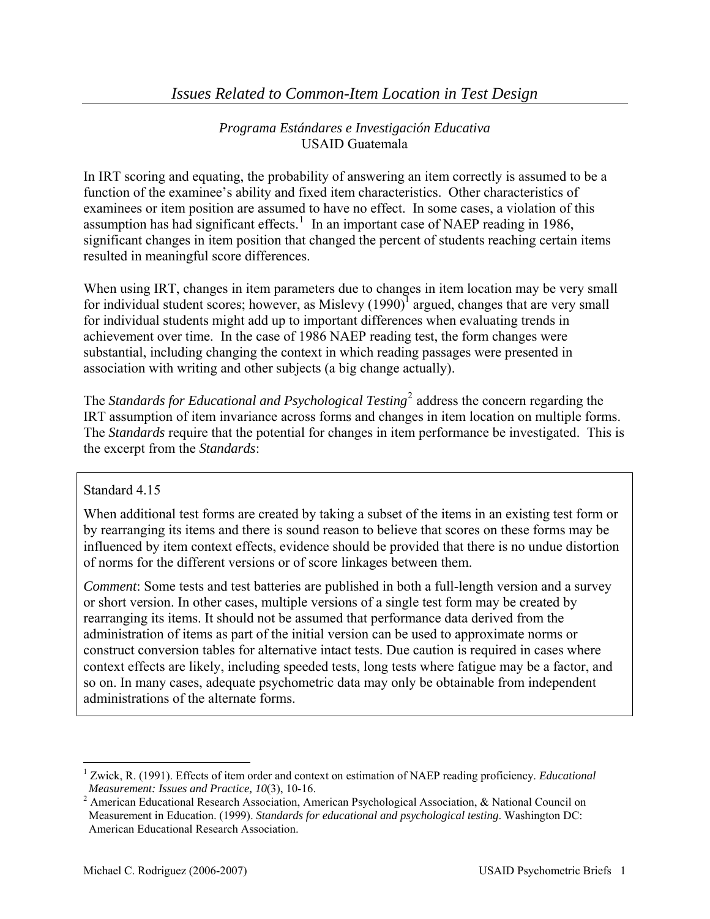In IRT scoring and equating, the probability of answering an item correctly is assumed to be a function of the examinee's ability and fixed item characteristics. Other characteristics of examinees or item position are assumed to have no effect. In some cases, a violation of this assumption has had significant effects.<sup>[1](#page-0-0)</sup> In an important case of NAEP reading in 1986, significant changes in item position that changed the percent of students reaching certain items resulted in meaningful score differences.

When using IRT, changes in item parameters due to changes in item location may be very small for individual student scores; however, as Mislevy  $(1990)^{1}$  argued, changes that are very small for individual students might add up to important differences when evaluating trends in achievement over time. In the case of 1986 NAEP reading test, the form changes were substantial, including changing the context in which reading passages were presented in association with writing and other subjects (a big change actually).

The *Standards for Educational and Psychological Testing*[2](#page-0-1) address the concern regarding the IRT assumption of item invariance across forms and changes in item location on multiple forms. The *Standards* require that the potential for changes in item performance be investigated. This is the excerpt from the *Standards*:

## Standard 4.15

 $\overline{a}$ 

When additional test forms are created by taking a subset of the items in an existing test form or by rearranging its items and there is sound reason to believe that scores on these forms may be influenced by item context effects, evidence should be provided that there is no undue distortion of norms for the different versions or of score linkages between them.

*Comment*: Some tests and test batteries are published in both a full-length version and a survey or short version. In other cases, multiple versions of a single test form may be created by rearranging its items. It should not be assumed that performance data derived from the administration of items as part of the initial version can be used to approximate norms or construct conversion tables for alternative intact tests. Due caution is required in cases where context effects are likely, including speeded tests, long tests where fatigue may be a factor, and so on. In many cases, adequate psychometric data may only be obtainable from independent administrations of the alternate forms.

<span id="page-0-0"></span><sup>&</sup>lt;sup>1</sup> Zwick, R. (1991). Effects of item order and context on estimation of NAEP reading proficiency. *Educational* 

<span id="page-0-1"></span>*Measurement: Issues and Practice, 10*(3), 10-16.<br><sup>2</sup> American Educational Research Association, American Psychological Association, & National Council on Measurement in Education. (1999). *Standards for educational and psychological testing*. Washington DC: American Educational Research Association.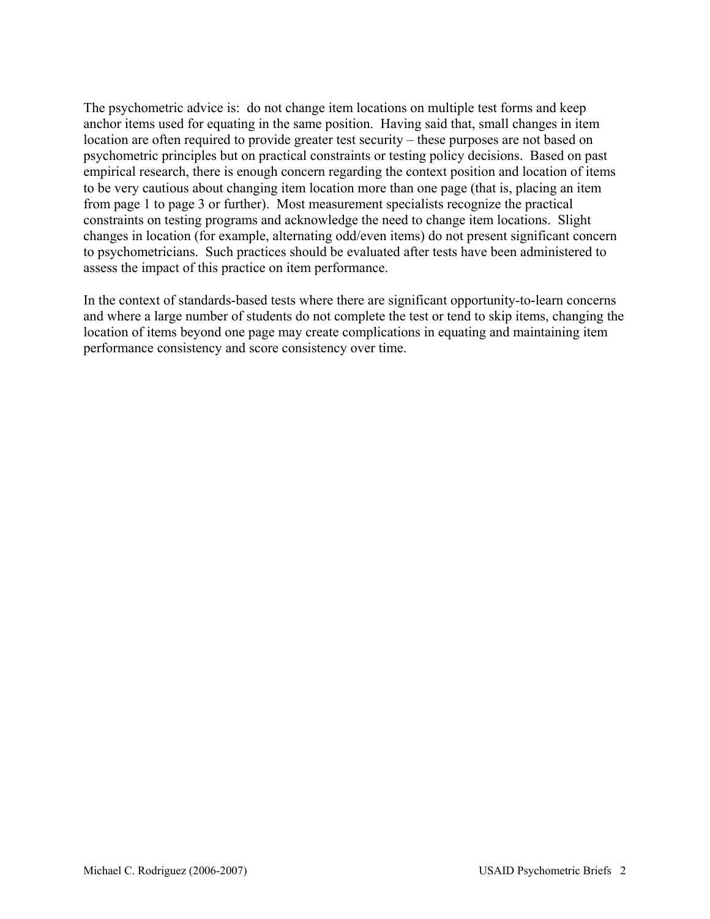The psychometric advice is: do not change item locations on multiple test forms and keep anchor items used for equating in the same position. Having said that, small changes in item location are often required to provide greater test security – these purposes are not based on psychometric principles but on practical constraints or testing policy decisions. Based on past empirical research, there is enough concern regarding the context position and location of items to be very cautious about changing item location more than one page (that is, placing an item from page 1 to page 3 or further). Most measurement specialists recognize the practical constraints on testing programs and acknowledge the need to change item locations. Slight changes in location (for example, alternating odd/even items) do not present significant concern to psychometricians. Such practices should be evaluated after tests have been administered to assess the impact of this practice on item performance.

In the context of standards-based tests where there are significant opportunity-to-learn concerns and where a large number of students do not complete the test or tend to skip items, changing the location of items beyond one page may create complications in equating and maintaining item performance consistency and score consistency over time.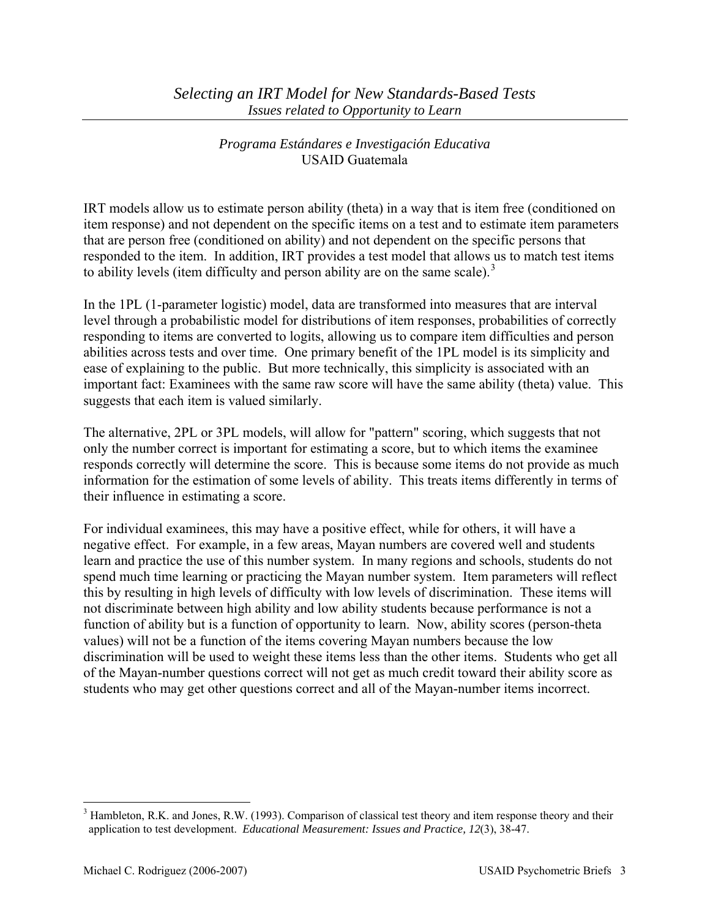IRT models allow us to estimate person ability (theta) in a way that is item free (conditioned on item response) and not dependent on the specific items on a test and to estimate item parameters that are person free (conditioned on ability) and not dependent on the specific persons that responded to the item. In addition, IRT provides a test model that allows us to match test items to ability levels (item difficulty and person ability are on the same scale).<sup>[3](#page-2-0)</sup>

In the 1PL (1-parameter logistic) model, data are transformed into measures that are interval level through a probabilistic model for distributions of item responses, probabilities of correctly responding to items are converted to logits, allowing us to compare item difficulties and person abilities across tests and over time. One primary benefit of the 1PL model is its simplicity and ease of explaining to the public. But more technically, this simplicity is associated with an important fact: Examinees with the same raw score will have the same ability (theta) value. This suggests that each item is valued similarly.

The alternative, 2PL or 3PL models, will allow for "pattern" scoring, which suggests that not only the number correct is important for estimating a score, but to which items the examinee responds correctly will determine the score. This is because some items do not provide as much information for the estimation of some levels of ability. This treats items differently in terms of their influence in estimating a score.

For individual examinees, this may have a positive effect, while for others, it will have a negative effect. For example, in a few areas, Mayan numbers are covered well and students learn and practice the use of this number system. In many regions and schools, students do not spend much time learning or practicing the Mayan number system. Item parameters will reflect this by resulting in high levels of difficulty with low levels of discrimination. These items will not discriminate between high ability and low ability students because performance is not a function of ability but is a function of opportunity to learn. Now, ability scores (person-theta values) will not be a function of the items covering Mayan numbers because the low discrimination will be used to weight these items less than the other items. Students who get all of the Mayan-number questions correct will not get as much credit toward their ability score as students who may get other questions correct and all of the Mayan-number items incorrect.

 $\overline{a}$ 

<span id="page-2-0"></span> $3$  Hambleton, R.K. and Jones, R.W. (1993). Comparison of classical test theory and item response theory and their application to test development. *Educational Measurement: Issues and Practice, 12*(3), 38-47.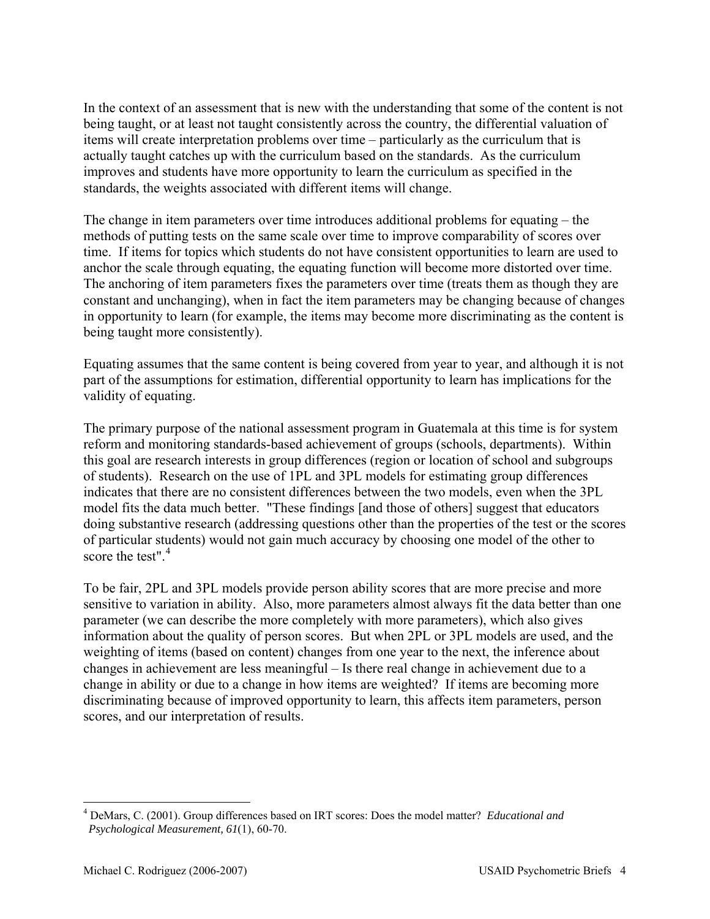In the context of an assessment that is new with the understanding that some of the content is not being taught, or at least not taught consistently across the country, the differential valuation of items will create interpretation problems over time – particularly as the curriculum that is actually taught catches up with the curriculum based on the standards. As the curriculum improves and students have more opportunity to learn the curriculum as specified in the standards, the weights associated with different items will change.

The change in item parameters over time introduces additional problems for equating – the methods of putting tests on the same scale over time to improve comparability of scores over time. If items for topics which students do not have consistent opportunities to learn are used to anchor the scale through equating, the equating function will become more distorted over time. The anchoring of item parameters fixes the parameters over time (treats them as though they are constant and unchanging), when in fact the item parameters may be changing because of changes in opportunity to learn (for example, the items may become more discriminating as the content is being taught more consistently).

Equating assumes that the same content is being covered from year to year, and although it is not part of the assumptions for estimation, differential opportunity to learn has implications for the validity of equating.

The primary purpose of the national assessment program in Guatemala at this time is for system reform and monitoring standards-based achievement of groups (schools, departments). Within this goal are research interests in group differences (region or location of school and subgroups of students). Research on the use of 1PL and 3PL models for estimating group differences indicates that there are no consistent differences between the two models, even when the 3PL model fits the data much better. "These findings [and those of others] suggest that educators doing substantive research (addressing questions other than the properties of the test or the scores of particular students) would not gain much accuracy by choosing one model of the other to score the test" $4$ 

To be fair, 2PL and 3PL models provide person ability scores that are more precise and more sensitive to variation in ability. Also, more parameters almost always fit the data better than one parameter (we can describe the more completely with more parameters), which also gives information about the quality of person scores. But when 2PL or 3PL models are used, and the weighting of items (based on content) changes from one year to the next, the inference about changes in achievement are less meaningful – Is there real change in achievement due to a change in ability or due to a change in how items are weighted? If items are becoming more discriminating because of improved opportunity to learn, this affects item parameters, person scores, and our interpretation of results.

 $\overline{a}$ 

<span id="page-3-0"></span><sup>4</sup> DeMars, C. (2001). Group differences based on IRT scores: Does the model matter? *Educational and Psychological Measurement, 61*(1), 60-70.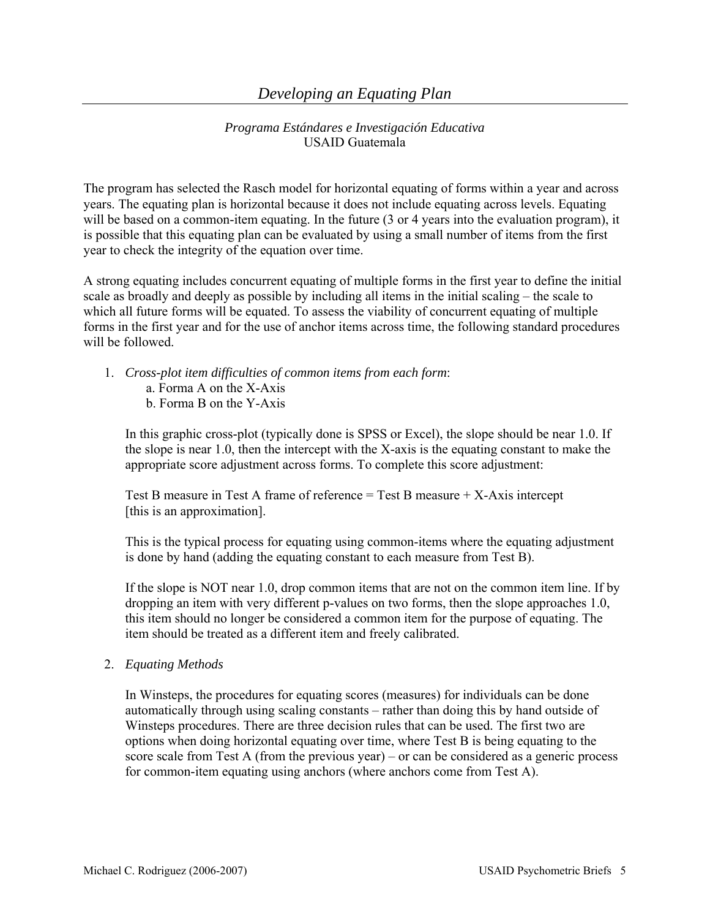The program has selected the Rasch model for horizontal equating of forms within a year and across years. The equating plan is horizontal because it does not include equating across levels. Equating will be based on a common-item equating. In the future (3 or 4 years into the evaluation program), it is possible that this equating plan can be evaluated by using a small number of items from the first year to check the integrity of the equation over time.

A strong equating includes concurrent equating of multiple forms in the first year to define the initial scale as broadly and deeply as possible by including all items in the initial scaling – the scale to which all future forms will be equated. To assess the viability of concurrent equating of multiple forms in the first year and for the use of anchor items across time, the following standard procedures will be followed.

- 1. *Cross-plot item difficulties of common items from each form*:
	- a. Forma A on the X-Axis
	- b. Forma B on the Y-Axis

In this graphic cross-plot (typically done is SPSS or Excel), the slope should be near 1.0. If the slope is near 1.0, then the intercept with the X-axis is the equating constant to make the appropriate score adjustment across forms. To complete this score adjustment:

Test B measure in Test A frame of reference = Test B measure + X-Axis intercept [this is an approximation].

This is the typical process for equating using common-items where the equating adjustment is done by hand (adding the equating constant to each measure from Test B).

If the slope is NOT near 1.0, drop common items that are not on the common item line. If by dropping an item with very different p-values on two forms, then the slope approaches 1.0, this item should no longer be considered a common item for the purpose of equating. The item should be treated as a different item and freely calibrated.

### 2. *Equating Methods*

In Winsteps, the procedures for equating scores (measures) for individuals can be done automatically through using scaling constants – rather than doing this by hand outside of Winsteps procedures. There are three decision rules that can be used. The first two are options when doing horizontal equating over time, where Test B is being equating to the score scale from Test A (from the previous year) – or can be considered as a generic process for common-item equating using anchors (where anchors come from Test A).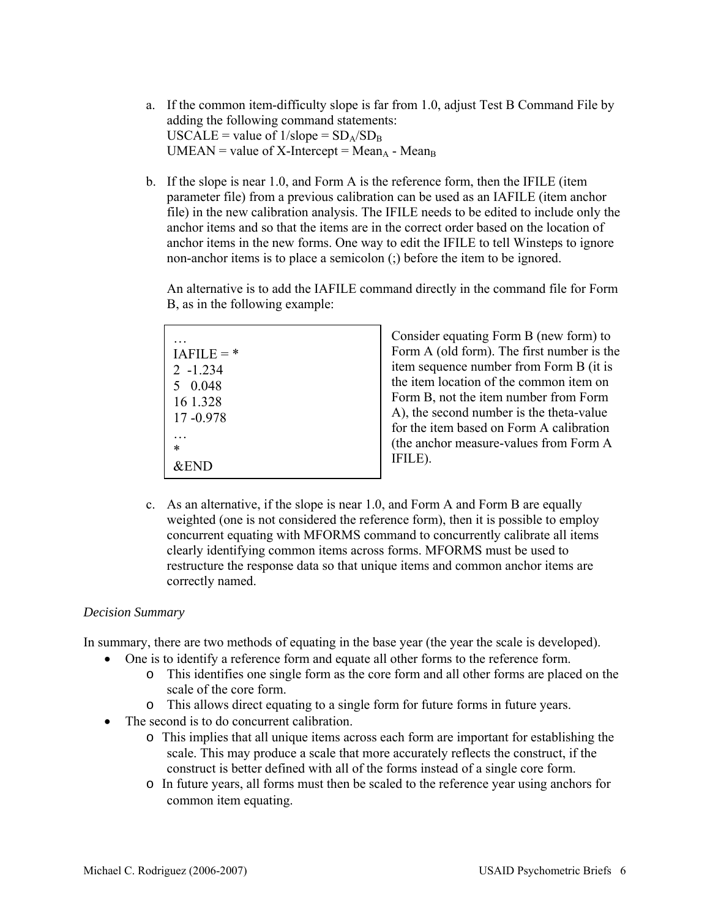- a. If the common item-difficulty slope is far from 1.0, adjust Test B Command File by adding the following command statements:  $USCALE = value of 1/slope = SD<sub>A</sub>/SD<sub>B</sub>$  $UMEAN = value of X-Intercept = Mean<sub>A</sub> - Mean<sub>B</sub>$
- b. If the slope is near 1.0, and Form A is the reference form, then the IFILE (item parameter file) from a previous calibration can be used as an IAFILE (item anchor file) in the new calibration analysis. The IFILE needs to be edited to include only the anchor items and so that the items are in the correct order based on the location of anchor items in the new forms. One way to edit the IFILE to tell Winsteps to ignore non-anchor items is to place a semicolon (;) before the item to be ignored.

An alternative is to add the IAFILE command directly in the command file for Form B, as in the following example:

| $IAFILE =$ *    |  |
|-----------------|--|
| $2 - 1.234$     |  |
| 5 0.048         |  |
| 16 1.328        |  |
| 17-0.978        |  |
|                 |  |
| *               |  |
| <b>&amp;END</b> |  |

Consider equating Form B (new form) to Form A (old form). The first number is the item sequence number from Form B (it is the item location of the common item on Form B, not the item number from Form A), the second number is the theta-value for the item based on Form A calibration (the anchor measure-values from Form A IFILE).

c. As an alternative, if the slope is near 1.0, and Form A and Form B are equally weighted (one is not considered the reference form), then it is possible to employ concurrent equating with MFORMS command to concurrently calibrate all items clearly identifying common items across forms. MFORMS must be used to restructure the response data so that unique items and common anchor items are correctly named.

#### *Decision Summary*

In summary, there are two methods of equating in the base year (the year the scale is developed).

- One is to identify a reference form and equate all other forms to the reference form.
	- o This identifies one single form as the core form and all other forms are placed on the scale of the core form.
	- o This allows direct equating to a single form for future forms in future years.
- The second is to do concurrent calibration.
	- o This implies that all unique items across each form are important for establishing the scale. This may produce a scale that more accurately reflects the construct, if the construct is better defined with all of the forms instead of a single core form.
	- o In future years, all forms must then be scaled to the reference year using anchors for common item equating.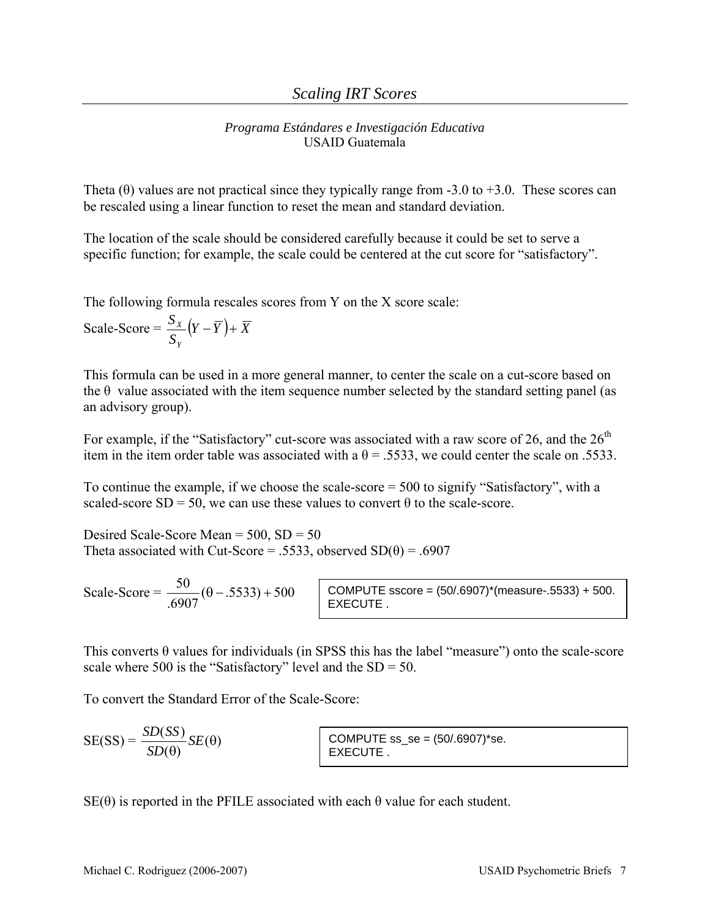Theta  $(\theta)$  values are not practical since they typically range from -3.0 to +3.0. These scores can be rescaled using a linear function to reset the mean and standard deviation.

The location of the scale should be considered carefully because it could be set to serve a specific function; for example, the scale could be centered at the cut score for "satisfactory".

The following formula rescales scores from Y on the X score scale:

Scale-Score = 
$$
\frac{S_X}{S_Y} (Y - \overline{Y}) + \overline{X}
$$

This formula can be used in a more general manner, to center the scale on a cut-score based on the  $\theta$  value associated with the item sequence number selected by the standard setting panel (as an advisory group).

For example, if the "Satisfactory" cut-score was associated with a raw score of 26, and the  $26<sup>th</sup>$ item in the item order table was associated with a  $\theta$  = .5533, we could center the scale on .5533.

To continue the example, if we choose the scale-score = 500 to signify "Satisfactory", with a scaled-score  $SD = 50$ , we can use these values to convert  $\theta$  to the scale-score.

Desired Scale-Score Mean = 500, SD = 50 Theta associated with Cut-Score = .5533, observed  $SD(\theta) = .6907$ 

Scale-Score =  $\frac{50}{6907}(\theta -.5533) + 500$ 

 $COMPUTE$  sscore =  $(50/0.6907)^*$ (measure-.5533) + 500. EXECUTE .

This converts  $\theta$  values for individuals (in SPSS this has the label "measure") onto the scale-score scale where 500 is the "Satisfactory" level and the  $SD = 50$ .

To convert the Standard Error of the Scale-Score:

| $SE(SS) =$ | $ \frac{SD(SS)}{SE(\theta)}$ |
|------------|------------------------------|
|            | $SD(\theta)$                 |

 $COMPUTE$  ss  $se = (50/0.6907)^*se.$ EXECUTE .

 $SE(\theta)$  is reported in the PFILE associated with each  $\theta$  value for each student.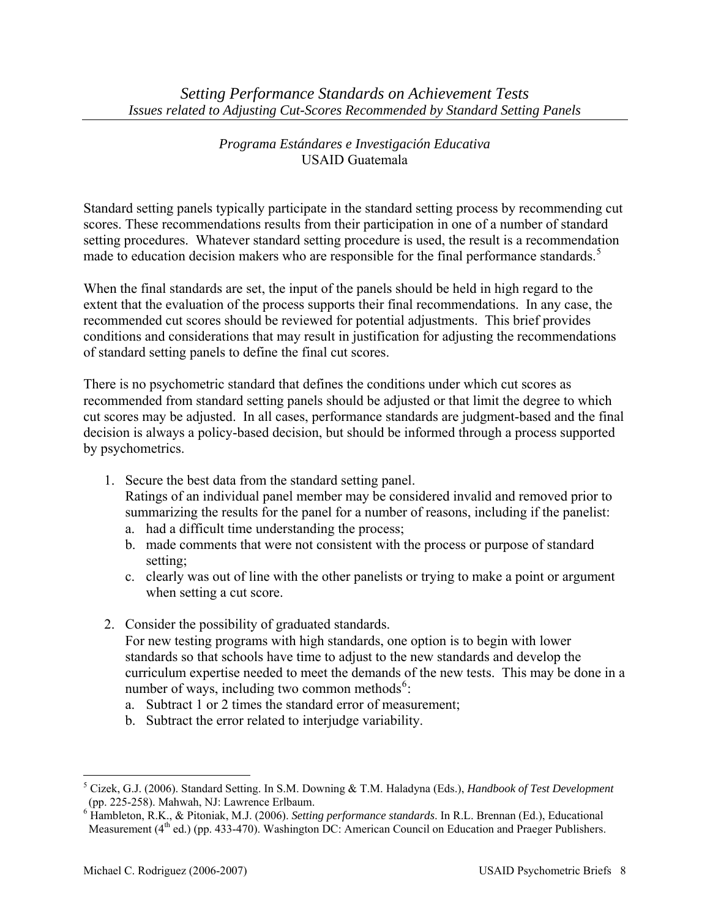Standard setting panels typically participate in the standard setting process by recommending cut scores. These recommendations results from their participation in one of a number of standard setting procedures. Whatever standard setting procedure is used, the result is a recommendation made to education decision makers who are responsible for the final performance standards.<sup>[5](#page-7-0)</sup>

When the final standards are set, the input of the panels should be held in high regard to the extent that the evaluation of the process supports their final recommendations. In any case, the recommended cut scores should be reviewed for potential adjustments. This brief provides conditions and considerations that may result in justification for adjusting the recommendations of standard setting panels to define the final cut scores.

There is no psychometric standard that defines the conditions under which cut scores as recommended from standard setting panels should be adjusted or that limit the degree to which cut scores may be adjusted. In all cases, performance standards are judgment-based and the final decision is always a policy-based decision, but should be informed through a process supported by psychometrics.

- 1. Secure the best data from the standard setting panel.
	- Ratings of an individual panel member may be considered invalid and removed prior to summarizing the results for the panel for a number of reasons, including if the panelist:
	- a. had a difficult time understanding the process;
	- b. made comments that were not consistent with the process or purpose of standard setting;
	- c. clearly was out of line with the other panelists or trying to make a point or argument when setting a cut score.
- 2. Consider the possibility of graduated standards. For new testing programs with high standards, one option is to begin with lower standards so that schools have time to adjust to the new standards and develop the

curriculum expertise needed to meet the demands of the new tests. This may be done in a number of ways, including two common methods<sup>[6](#page-7-1)</sup>:

- a. Subtract 1 or 2 times the standard error of measurement;
- b. Subtract the error related to interjudge variability.

 $\overline{a}$ 

<span id="page-7-0"></span><sup>5</sup> Cizek, G.J. (2006). Standard Setting. In S.M. Downing & T.M. Haladyna (Eds.), *Handbook of Test Development* (pp. 225-258). Mahwah, NJ: Lawrence Erlbaum.

<span id="page-7-1"></span><sup>6</sup> Hambleton, R.K., & Pitoniak, M.J. (2006). *Setting performance standards*. In R.L. Brennan (Ed.), Educational Measurement (4<sup>th</sup> ed.) (pp. 433-470). Washington DC: American Council on Education and Praeger Publishers.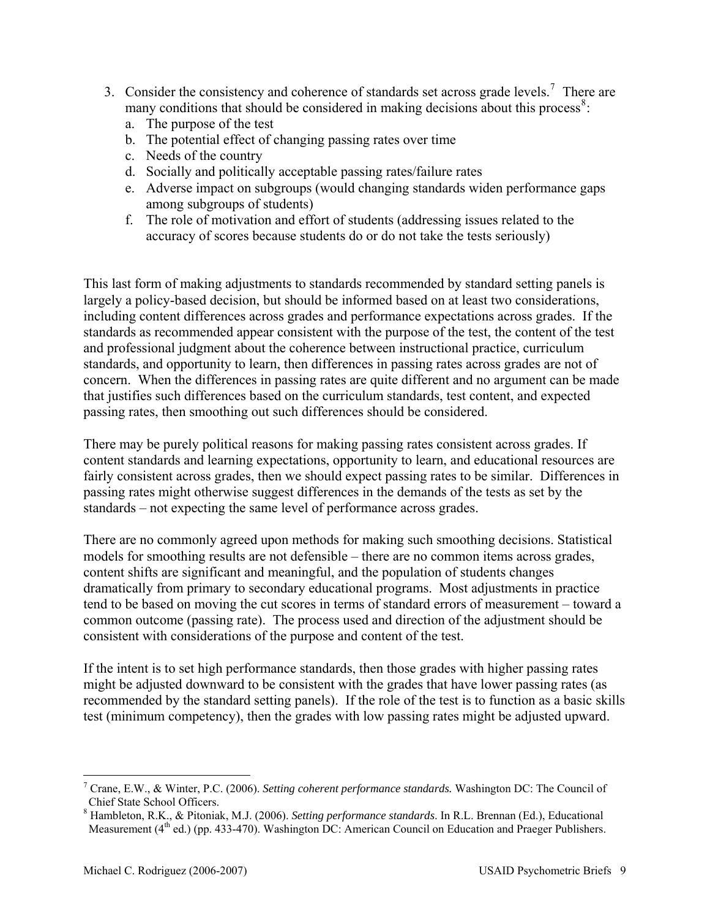- 3. Consider the consistency and coherence of standards set across grade levels.<sup>[7](#page-8-0)</sup> There are many conditions that should be considered in making decisions about this process<sup>[8](#page-8-1)</sup>:
	- a. The purpose of the test
	- b. The potential effect of changing passing rates over time
	- c. Needs of the country
	- d. Socially and politically acceptable passing rates/failure rates
	- e. Adverse impact on subgroups (would changing standards widen performance gaps among subgroups of students)
	- f. The role of motivation and effort of students (addressing issues related to the accuracy of scores because students do or do not take the tests seriously)

This last form of making adjustments to standards recommended by standard setting panels is largely a policy-based decision, but should be informed based on at least two considerations, including content differences across grades and performance expectations across grades. If the standards as recommended appear consistent with the purpose of the test, the content of the test and professional judgment about the coherence between instructional practice, curriculum standards, and opportunity to learn, then differences in passing rates across grades are not of concern. When the differences in passing rates are quite different and no argument can be made that justifies such differences based on the curriculum standards, test content, and expected passing rates, then smoothing out such differences should be considered.

There may be purely political reasons for making passing rates consistent across grades. If content standards and learning expectations, opportunity to learn, and educational resources are fairly consistent across grades, then we should expect passing rates to be similar. Differences in passing rates might otherwise suggest differences in the demands of the tests as set by the standards – not expecting the same level of performance across grades.

There are no commonly agreed upon methods for making such smoothing decisions. Statistical models for smoothing results are not defensible – there are no common items across grades, content shifts are significant and meaningful, and the population of students changes dramatically from primary to secondary educational programs. Most adjustments in practice tend to be based on moving the cut scores in terms of standard errors of measurement – toward a common outcome (passing rate). The process used and direction of the adjustment should be consistent with considerations of the purpose and content of the test.

If the intent is to set high performance standards, then those grades with higher passing rates might be adjusted downward to be consistent with the grades that have lower passing rates (as recommended by the standard setting panels). If the role of the test is to function as a basic skills test (minimum competency), then the grades with low passing rates might be adjusted upward.

<u>.</u>

<span id="page-8-0"></span><sup>7</sup> Crane, E.W., & Winter, P.C. (2006). *Setting coherent performance standards.* Washington DC: The Council of Chief State School Officers.

<span id="page-8-1"></span><sup>8</sup> Hambleton, R.K., & Pitoniak, M.J. (2006). *Setting performance standards*. In R.L. Brennan (Ed.), Educational Measurement (4<sup>th</sup> ed.) (pp. 433-470). Washington DC: American Council on Education and Praeger Publishers.